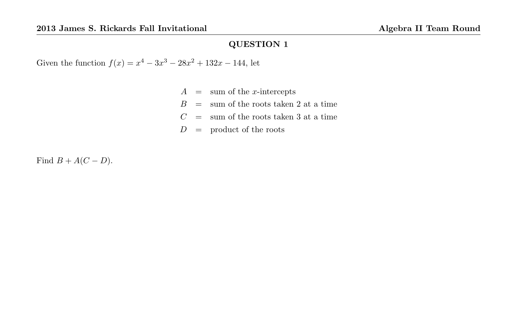Given the function  $f(x) = x^4 - 3x^3 - 28x^2 + 132x - 144$ , let

- $A =$  sum of the *x*-intercepts
- $B =$  sum of the roots taken 2 at a time
- $C =$  sum of the roots taken 3 at a time
- $D =$  product of the roots

Find  $B + A(C - D)$ .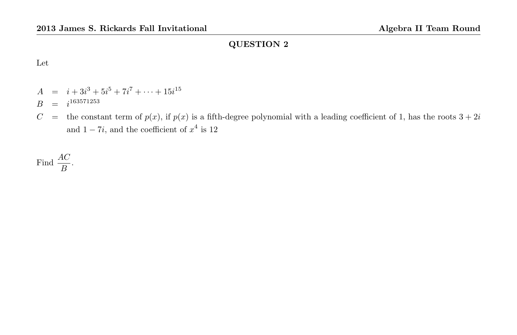Let

- $A = i + 3i^3 + 5i^5 + 7i^7 + \cdots + 15i^{15}$
- $B = i^{163571253}$
- $C =$  the constant term of  $p(x)$ , if  $p(x)$  is a fifth-degree polynomial with a leading coefficient of 1, has the roots  $3 + 2i$ and  $1 - 7i$ , and the coefficient of  $x^4$  is 12

Find 
$$
\frac{AC}{B}
$$
.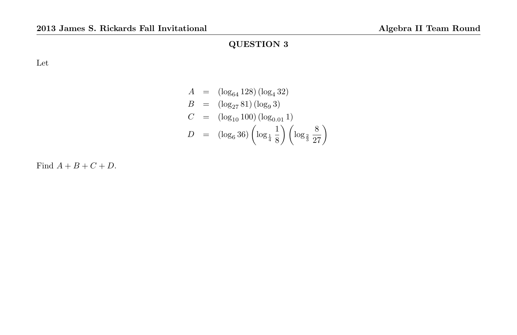Let

$$
A = (\log_{64} 128) (\log_4 32)
$$
  
\n
$$
B = (\log_{27} 81) (\log_9 3)
$$
  
\n
$$
C = (\log_{10} 100) (\log_{0.01} 1)
$$
  
\n
$$
D = (\log_6 36) (\log_{\frac{1}{4}} \frac{1}{8}) (\log_{\frac{2}{3}} \frac{8}{27})
$$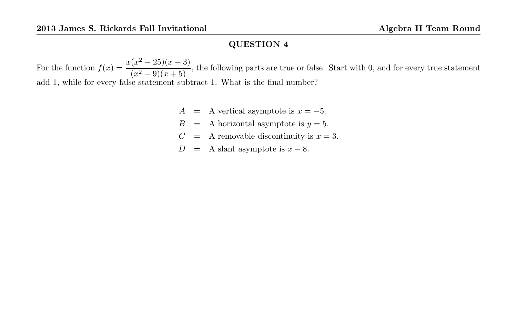For the function  $f(x) = \frac{x(x^2 - 25)(x - 3)}{(x^2 - 25)(x - 5)}$  $\frac{20}{(x^2-9)(x+5)}$ , the following parts are true or false. Start with 0, and for every true statement add 1, while for every false statement subtract 1. What is the final number?

- A = A vertical asymptote is  $x = -5$ .
- $B = A$  horizontal asymptote is  $y = 5$ .
- $C = A$  removable discontinuity is  $x = 3$ .
- $D = A$  slant asymptote is  $x 8$ .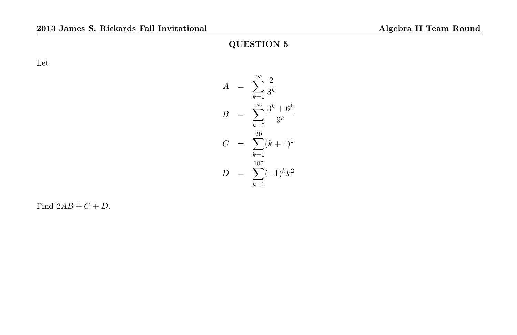Let

$$
A = \sum_{k=0}^{\infty} \frac{2}{3^k}
$$
  
\n
$$
B = \sum_{k=0}^{\infty} \frac{3^k + 6^k}{9^k}
$$
  
\n
$$
C = \sum_{k=0}^{20} (k+1)^2
$$
  
\n
$$
D = \sum_{k=1}^{100} (-1)^k k^2
$$

Find  $2AB + C + D$ .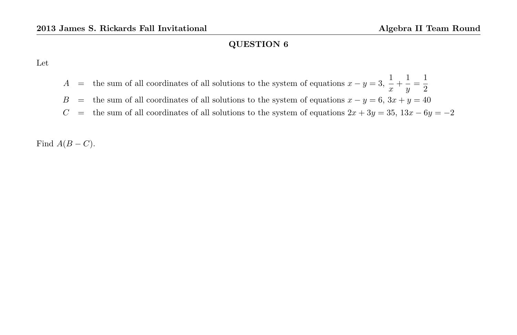Let

- A = the sum of all coordinates of all solutions to the system of equations  $x y = 3$ ,  $\frac{1}{x}$  $\frac{1}{x} + \frac{1}{y}$  $\frac{1}{y} = \frac{1}{2}$ 2
- B = the sum of all coordinates of all solutions to the system of equations  $x y = 6$ ,  $3x + y = 40$
- $C =$  the sum of all coordinates of all solutions to the system of equations  $2x + 3y = 35$ ,  $13x 6y = -2$

Find  $A(B - C)$ .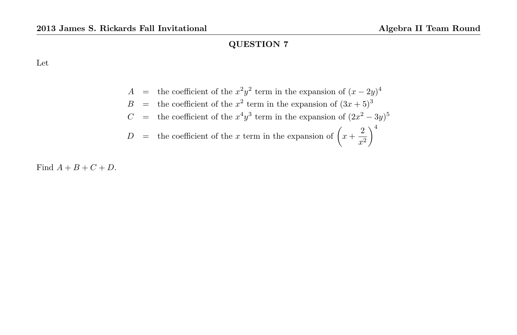Let

$$
A =
$$
 the coefficient of the  $x^2y^2$  term in the expansion of  $(x - 2y)^4$   
\n
$$
B =
$$
 the coefficient of the  $x^2$  term in the expansion of  $(3x + 5)^3$   
\n
$$
C =
$$
 the coefficient of the  $x^4y^3$  term in the expansion of  $(2x^2 - 3y)^5$ 

$$
D
$$
 = the coefficient of the *x* term in the expansion of  $\left(x + \frac{2}{x^2}\right)^4$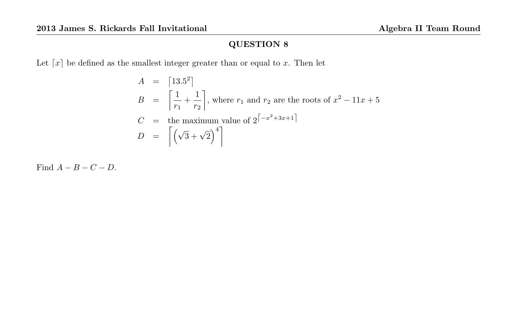Let  $\lceil x \rceil$  be defined as the smallest integer greater than or equal to x. Then let

$$
A = \begin{bmatrix} 13.5^2 \\ r_1 + \frac{1}{r_2} \end{bmatrix}
$$
, where  $r_1$  and  $r_2$  are the roots of  $x^2 - 11x + 5$   
\n
$$
C = \text{the maximum value of } 2^{\left\lceil -x^2 + 3x + 1 \right\rceil}
$$
\n
$$
D = \left[ \left( \sqrt{3} + \sqrt{2} \right)^4 \right]
$$

Find  $A - B - C - D$ .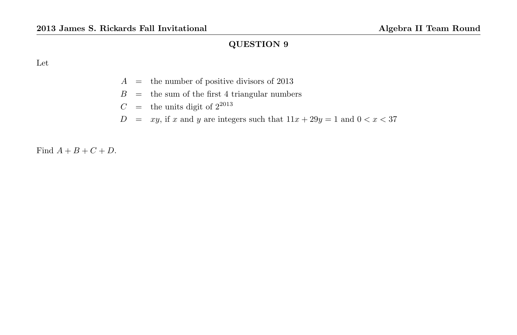Let

- $A =$  the number of positive divisors of 2013
- $B =$  the sum of the first 4 triangular numbers
- $C =$  the units digit of  $2^{2013}$
- $D = xy$ , if x and y are integers such that  $11x + 29y = 1$  and  $0 < x < 37$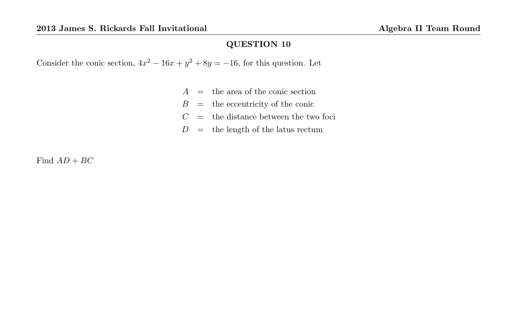Consider the conic section,  $4x^2 - 16x + y^2 + 8y = -16$ , for this question. Let

- $A =$  the area of the conic section
- $B =$  the eccentricity of the conic
- $C =$  the distance between the two foci
- $D =$  the length of the latus rectum

Find  $AD+BC$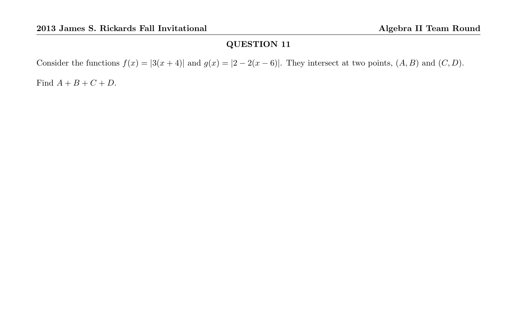Consider the functions  $f(x) = |3(x+4)|$  and  $g(x) = |2-2(x-6)|$ . They intersect at two points,  $(A, B)$  and  $(C, D)$ .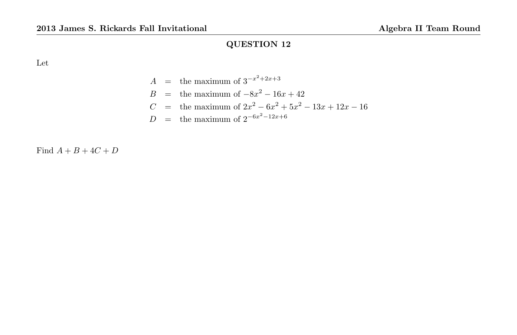Let

$$
A = \text{the maximum of } 3^{-x^2 + 2x + 3}
$$
  
\n
$$
B = \text{the maximum of } -8x^2 - 16x + 42
$$
  
\n
$$
C = \text{the maximum of } 2x^2 - 6x^2 + 5x^2 - 13x + 12x - 16
$$
  
\n
$$
D = \text{the maximum of } 2^{-6x^2 - 12x + 6}
$$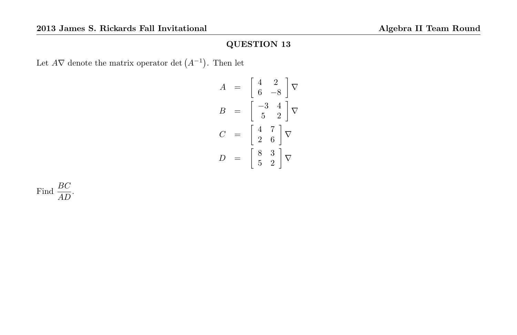Let  $A\nabla$  denote the matrix operator det  $(A^{-1})$ . Then let

$$
A = \begin{bmatrix} 4 & 2 \\ 6 & -8 \end{bmatrix} \nabla
$$

$$
B = \begin{bmatrix} -3 & 4 \\ 5 & 2 \end{bmatrix} \nabla
$$

$$
C = \begin{bmatrix} 4 & 7 \\ 2 & 6 \end{bmatrix} \nabla
$$

$$
D = \begin{bmatrix} 8 & 3 \\ 5 & 2 \end{bmatrix} \nabla
$$

Find  $\frac{BC}{AD}$ .